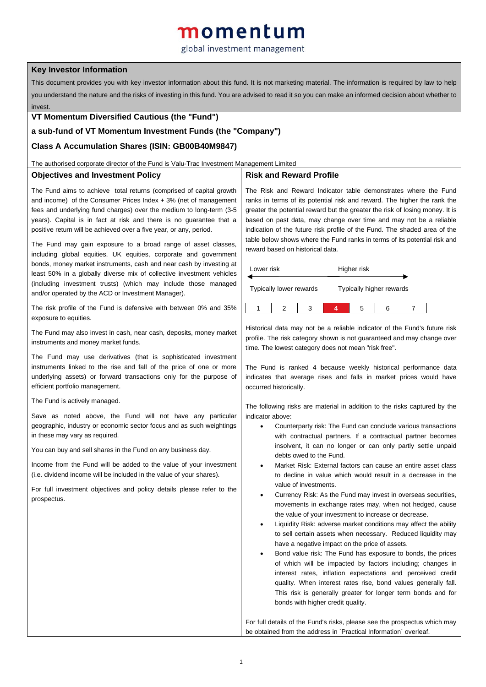# momentum

# global investment management

## **Key Investor Information**

This document provides you with key investor information about this fund. It is not marketing material. The information is required by law to help you understand the nature and the risks of investing in this fund. You are advised to read it so you can make an informed decision about whether to invest.

#### **VT Momentum Diversified Cautious (the "Fund")**

# **a sub-fund of VT Momentum Investment Funds (the "Company")**

## **Class A Accumulation Shares (ISIN: GB00B40M9847)**

The authorised corporate director of the Fund is Valu-Trac Investment Management Limited

#### **Objectives and Investment Policy**

### **Risk and Reward Profile**

The Fund aims to achieve total returns (comprised of capital growth and income) of the Consumer Prices Index + 3% (net of management fees and underlying fund charges) over the medium to long-term (3-5 years). Capital is in fact at risk and there is no guarantee that a positive return will be achieved over a five year, or any, period.

The Fund may gain exposure to a broad range of asset classes, including global equities, UK equities, corporate and government bonds, money market instruments, cash and near cash by investing at least 50% in a globally diverse mix of collective investment vehicles (including investment trusts) (which may include those managed and/or operated by the ACD or Investment Manager).

The risk profile of the Fund is defensive with between 0% and 35% exposure to equities.

The Fund may also invest in cash, near cash, deposits, money market instruments and money market funds.

The Fund may use derivatives (that is sophisticated investment instruments linked to the rise and fall of the price of one or more underlying assets) or forward transactions only for the purpose of efficient portfolio management.

The Fund is actively managed.

Save as noted above, the Fund will not have any particular geographic, industry or economic sector focus and as such weightings in these may vary as required.

You can buy and sell shares in the Fund on any business day.

Income from the Fund will be added to the value of your investment (i.e. dividend income will be included in the value of your shares).

For full investment objectives and policy details please refer to the prospectus.

The Risk and Reward Indicator table demonstrates where the Fund ranks in terms of its potential risk and reward. The higher the rank the greater the potential reward but the greater the risk of losing money. It is based on past data, may change over time and may not be a reliable indication of the future risk profile of the Fund. The shaded area of the table below shows where the Fund ranks in terms of its potential risk and reward based on historical data.

| Lower risk                     |  |   | Higher risk              |   |   |  |
|--------------------------------|--|---|--------------------------|---|---|--|
| <b>Typically lower rewards</b> |  |   | Typically higher rewards |   |   |  |
|                                |  | 3 |                          | 5 | 6 |  |

Historical data may not be a reliable indicator of the Fund's future risk profile. The risk category shown is not guaranteed and may change over time. The lowest category does not mean "risk free".

The Fund is ranked 4 because weekly historical performance data indicates that average rises and falls in market prices would have occurred historically.

The following risks are material in addition to the risks captured by the indicator above:

- Counterparty risk: The Fund can conclude various transactions with contractual partners. If a contractual partner becomes insolvent, it can no longer or can only partly settle unpaid debts owed to the Fund.
- Market Risk: External factors can cause an entire asset class to decline in value which would result in a decrease in the value of investments.
- Currency Risk: As the Fund may invest in overseas securities, movements in exchange rates may, when not hedged, cause the value of your investment to increase or decrease.
- Liquidity Risk: adverse market conditions may affect the ability to sell certain assets when necessary. Reduced liquidity may have a negative impact on the price of assets.
- Bond value risk: The Fund has exposure to bonds, the prices of which will be impacted by factors including; changes in interest rates, inflation expectations and perceived credit quality. When interest rates rise, bond values generally fall. This risk is generally greater for longer term bonds and for bonds with higher credit quality.

For full details of the Fund's risks, please see the prospectus which may be obtained from the address in `Practical Information` overleaf.